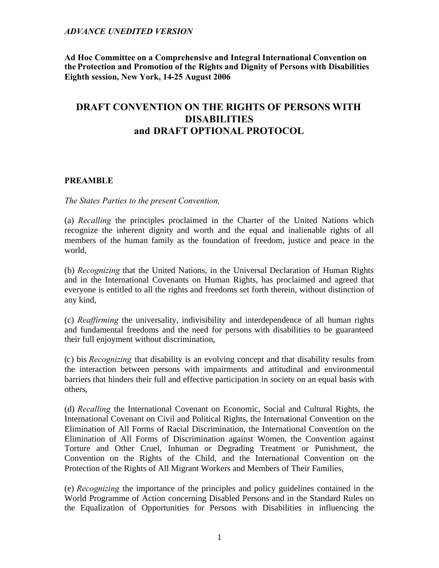**Ad Hoc Committee on a Comprehensive and Integral International Convention on the Protection and Promotion of the Rights and Dignity of Persons with Disabilities Eighth session, New York, 14-25 August 2006**

# **DRAFT CONVENTION ON THE RIGHTS OF PERSONS WITH DISABILITIES and DRAFT OPTIONAL PROTOCOL**

#### **PREAMBLE**

*The States Parties to the present Convention,*

(a) *Recalling* the principles proclaimed in the Charter of the United Nations which recognize the inherent dignity and worth and the equal and inalienable rights of all members of the human family as the foundation of freedom, justice and peace in the world,

(b) *Recognizing* that the United Nations, in the Universal Declaration of Human Rights and in the International Covenants on Human Rights, has proclaimed and agreed that everyone is entitled to all the rights and freedoms set forth therein, without distinction of any kind,

(c) *Reaffirming* the universality, indivisibility and interdependence of all human rights and fundamental freedoms and the need for persons with disabilities to be guaranteed their full enjoyment without discrimination,

(c) bis *Recognizing* that disability is an evolving concept and that disability results from the interaction between persons with impairments and attitudinal and environmental barriers that hinders their full and effective participation in society on an equal basis with others,

(d) *Recalling* the International Covenant on Economic, Social and Cultural Rights, the International Covenant on Civil and Political Rights, the International Convention on the Elimination of All Forms of Racial Discrimination, the International Convention on the Elimination of All Forms of Discrimination against Women, the Convention against Torture and Other Cruel, Inhuman or Degrading Treatment or Punishment, the Convention on the Rights of the Child, and the International Convention on the Protection of the Rights of All Migrant Workers and Members of Their Families,

(e) *Recognizing* the importance of the principles and policy guidelines contained in the World Programme of Action concerning Disabled Persons and in the Standard Rules on the Equalization of Opportunities for Persons with Disabilities in influencing the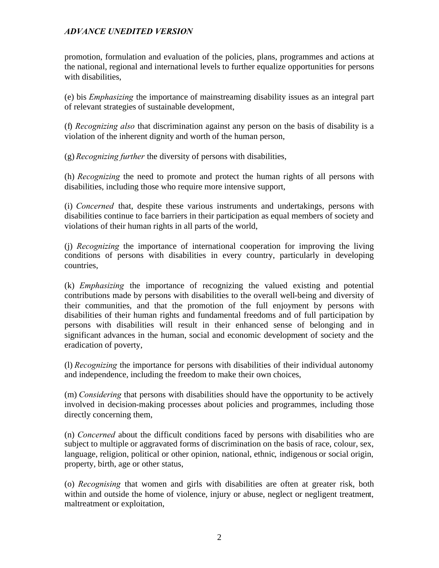promotion, formulation and evaluation of the policies, plans, programmes and actions at the national, regional and international levels to further equalize opportunities for persons with disabilities,

(e) bis *Emphasizing* the importance of mainstreaming disability issues as an integral part of relevant strategies of sustainable development,

(f) *Recognizing also* that discrimination against any person on the basis of disability is a violation of the inherent dignity and worth of the human person,

(g) *Recognizing further* the diversity of persons with disabilities,

(h) *Recognizing* the need to promote and protect the human rights of all persons with disabilities, including those who require more intensive support,

(i) *Concerned* that, despite these various instruments and undertakings, persons with disabilities continue to face barriers in their participation as equal members of society and violations of their human rights in all parts of the world,

(j) *Recognizing* the importance of international cooperation for improving the living conditions of persons with disabilities in every country, particularly in developing countries,

(k) *Emphasizing* the importance of recognizing the valued existing and potential contributions made by persons with disabilities to the overall well-being and diversity of their communities, and that the promotion of the full enjoyment by persons with disabilities of their human rights and fundamental freedoms and of full participation by persons with disabilities will result in their enhanced sense of belonging and in significant advances in the human, social and economic development of society and the eradication of poverty,

(l) *Recognizing* the importance for persons with disabilities of their individual autonomy and independence, including the freedom to make their own choices,

(m) *Considering* that persons with disabilities should have the opportunity to be actively involved in decision-making processes about policies and programmes, including those directly concerning them,

(n) *Concerned* about the difficult conditions faced by persons with disabilities who are subject to multiple or aggravated forms of discrimination on the basis of race, colour, sex, language, religion, political or other opinion, national, ethnic, indigenous or social origin, property, birth, age or other status,

(o) *Recognising* that women and girls with disabilities are often at greater risk, both within and outside the home of violence, injury or abuse, neglect or negligent treatment, maltreatment or exploitation,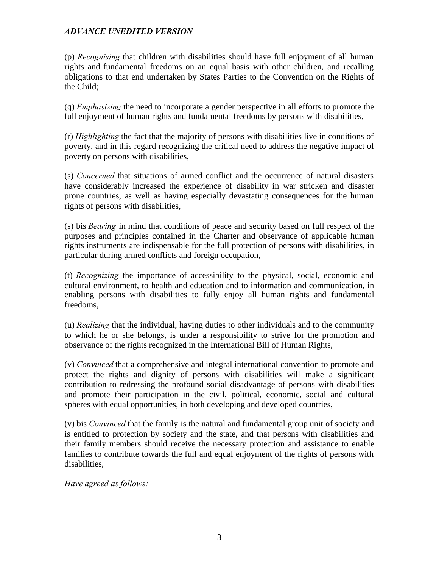(p) *Recognising* that children with disabilities should have full enjoyment of all human rights and fundamental freedoms on an equal basis with other children, and recalling obligations to that end undertaken by States Parties to the Convention on the Rights of the Child;

(q) *Emphasizing* the need to incorporate a gender perspective in all efforts to promote the full enjoyment of human rights and fundamental freedoms by persons with disabilities,

(r) *Highlighting* the fact that the majority of persons with disabilities live in conditions of poverty, and in this regard recognizing the critical need to address the negative impact of poverty on persons with disabilities,

(s) *Concerned* that situations of armed conflict and the occurrence of natural disasters have considerably increased the experience of disability in war stricken and disaster prone countries, as well as having especially devastating consequences for the human rights of persons with disabilities,

(s) bis *Bearing* in mind that conditions of peace and security based on full respect of the purposes and principles contained in the Charter and observance of applicable human rights instruments are indispensable for the full protection of persons with disabilities, in particular during armed conflicts and foreign occupation,

(t) *Recognizing* the importance of accessibility to the physical, social, economic and cultural environment, to health and education and to information and communication, in enabling persons with disabilities to fully enjoy all human rights and fundamental freedoms,

(u) *Realizing* that the individual, having duties to other individuals and to the community to which he or she belongs, is under a responsibility to strive for the promotion and observance of the rights recognized in the International Bill of Human Rights,

(v) *Convinced* that a comprehensive and integral international convention to promote and protect the rights and dignity of persons with disabilities will make a significant contribution to redressing the profound social disadvantage of persons with disabilities and promote their participation in the civil, political, economic, social and cultural spheres with equal opportunities, in both developing and developed countries,

(v) bis *Convinced* that the family is the natural and fundamental group unit of society and is entitled to protection by society and the state, and that persons with disabilities and their family members should receive the necessary protection and assistance to enable families to contribute towards the full and equal enjoyment of the rights of persons with disabilities,

*Have agreed as follows:*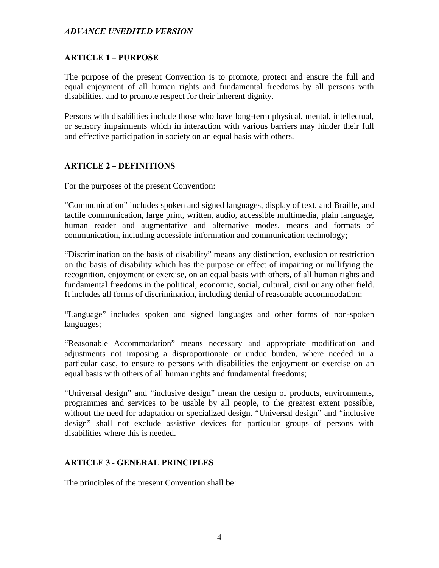#### **ARTICLE 1 – PURPOSE**

The purpose of the present Convention is to promote, protect and ensure the full and equal enjoyment of all human rights and fundamental freedoms by all persons with disabilities, and to promote respect for their inherent dignity.

Persons with disabilities include those who have long-term physical, mental, intellectual, or sensory impairments which in interaction with various barriers may hinder their full and effective participation in society on an equal basis with others.

# **ARTICLE 2 – DEFINITIONS**

For the purposes of the present Convention:

"Communication" includes spoken and signed languages, display of text, and Braille, and tactile communication, large print, written, audio, accessible multimedia, plain language, human reader and augmentative and alternative modes, means and formats of communication, including accessible information and communication technology;

"Discrimination on the basis of disability" means any distinction, exclusion or restriction on the basis of disability which has the purpose or effect of impairing or nullifying the recognition, enjoyment or exercise, on an equal basis with others, of all human rights and fundamental freedoms in the political, economic, social, cultural, civil or any other field. It includes all forms of discrimination, including denial of reasonable accommodation;

"Language" includes spoken and signed languages and other forms of non-spoken languages;

"Reasonable Accommodation" means necessary and appropriate modification and adjustments not imposing a disproportionate or undue burden, where needed in a particular case, to ensure to persons with disabilities the enjoyment or exercise on an equal basis with others of all human rights and fundamental freedoms;

"Universal design" and "inclusive design" mean the design of products, environments, programmes and services to be usable by all people, to the greatest extent possible, without the need for adaptation or specialized design. "Universal design" and "inclusive design" shall not exclude assistive devices for particular groups of persons with disabilities where this is needed.

# **ARTICLE 3 - GENERAL PRINCIPLES**

The principles of the present Convention shall be: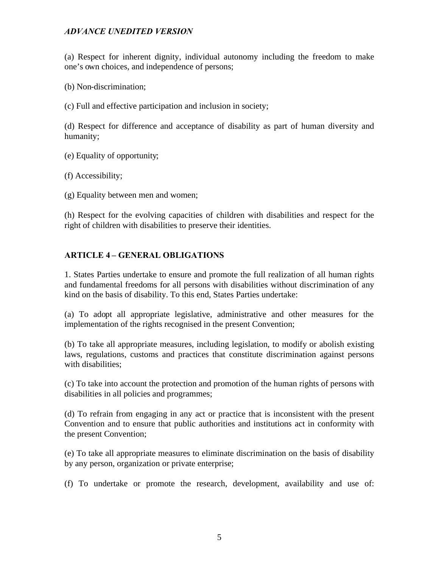(a) Respect for inherent dignity, individual autonomy including the freedom to make one's own choices, and independence of persons;

(b) Non-discrimination;

(c) Full and effective participation and inclusion in society;

(d) Respect for difference and acceptance of disability as part of human diversity and humanity;

(e) Equality of opportunity;

(f) Accessibility;

(g) Equality between men and women;

(h) Respect for the evolving capacities of children with disabilities and respect for the right of children with disabilities to preserve their identities.

# **ARTICLE 4 – GENERAL OBLIGATIONS**

1. States Parties undertake to ensure and promote the full realization of all human rights and fundamental freedoms for all persons with disabilities without discrimination of any kind on the basis of disability. To this end, States Parties undertake:

(a) To adopt all appropriate legislative, administrative and other measures for the implementation of the rights recognised in the present Convention;

(b) To take all appropriate measures, including legislation, to modify or abolish existing laws, regulations, customs and practices that constitute discrimination against persons with disabilities;

(c) To take into account the protection and promotion of the human rights of persons with disabilities in all policies and programmes;

(d) To refrain from engaging in any act or practice that is inconsistent with the present Convention and to ensure that public authorities and institutions act in conformity with the present Convention;

(e) To take all appropriate measures to eliminate discrimination on the basis of disability by any person, organization or private enterprise;

(f) To undertake or promote the research, development, availability and use of: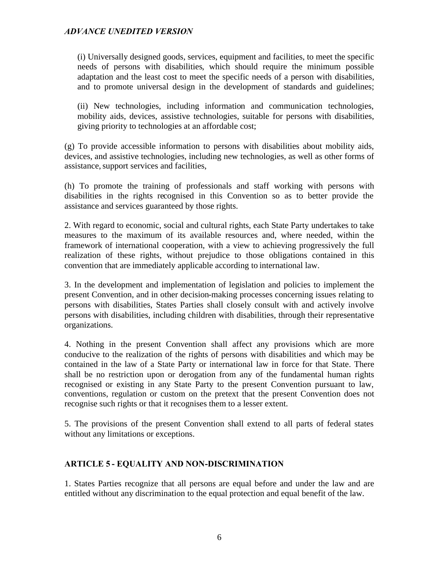(i) Universally designed goods, services, equipment and facilities, to meet the specific needs of persons with disabilities, which should require the minimum possible adaptation and the least cost to meet the specific needs of a person with disabilities, and to promote universal design in the development of standards and guidelines;

(ii) New technologies, including information and communication technologies, mobility aids, devices, assistive technologies, suitable for persons with disabilities, giving priority to technologies at an affordable cost;

(g) To provide accessible information to persons with disabilities about mobility aids, devices, and assistive technologies, including new technologies, as well as other forms of assistance, support services and facilities,

(h) To promote the training of professionals and staff working with persons with disabilities in the rights recognised in this Convention so as to better provide the assistance and services guaranteed by those rights.

2. With regard to economic, social and cultural rights, each State Party undertakes to take measures to the maximum of its available resources and, where needed, within the framework of international cooperation, with a view to achieving progressively the full realization of these rights, without prejudice to those obligations contained in this convention that are immediately applicable according to international law.

3. In the development and implementation of legislation and policies to implement the present Convention, and in other decision-making processes concerning issues relating to persons with disabilities, States Parties shall closely consult with and actively involve persons with disabilities, including children with disabilities, through their representative organizations.

4. Nothing in the present Convention shall affect any provisions which are more conducive to the realization of the rights of persons with disabilities and which may be contained in the law of a State Party or international law in force for that State. There shall be no restriction upon or derogation from any of the fundamental human rights recognised or existing in any State Party to the present Convention pursuant to law, conventions, regulation or custom on the pretext that the present Convention does not recognise such rights or that it recognises them to a lesser extent.

5. The provisions of the present Convention shall extend to all parts of federal states without any limitations or exceptions.

# **ARTICLE 5 - EQUALITY AND NON-DISCRIMINATION**

1. States Parties recognize that all persons are equal before and under the law and are entitled without any discrimination to the equal protection and equal benefit of the law.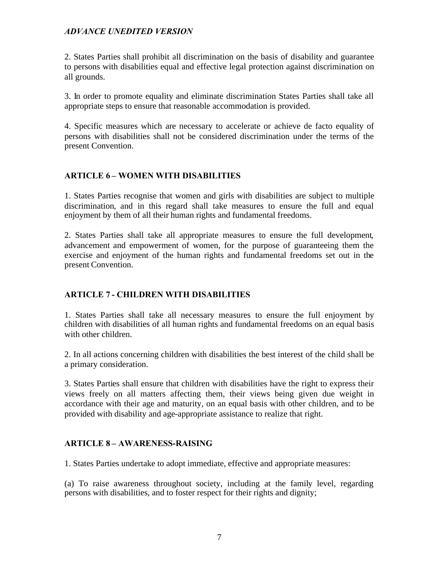2. States Parties shall prohibit all discrimination on the basis of disability and guarantee to persons with disabilities equal and effective legal protection against discrimination on all grounds.

3. In order to promote equality and eliminate discrimination States Parties shall take all appropriate steps to ensure that reasonable accommodation is provided.

4. Specific measures which are necessary to accelerate or achieve de facto equality of persons with disabilities shall not be considered discrimination under the terms of the present Convention.

### **ARTICLE 6 – WOMEN WITH DISABILITIES**

1. States Parties recognise that women and girls with disabilities are subject to multiple discrimination, and in this regard shall take measures to ensure the full and equal enjoyment by them of all their human rights and fundamental freedoms.

2. States Parties shall take all appropriate measures to ensure the full development, advancement and empowerment of women, for the purpose of guaranteeing them the exercise and enjoyment of the human rights and fundamental freedoms set out in the present Convention.

# **ARTICLE 7 - CHILDREN WITH DISABILITIES**

1. States Parties shall take all necessary measures to ensure the full enjoyment by children with disabilities of all human rights and fundamental freedoms on an equal basis with other children.

2. In all actions concerning children with disabilities the best interest of the child shall be a primary consideration.

3. States Parties shall ensure that children with disabilities have the right to express their views freely on all matters affecting them, their views being given due weight in accordance with their age and maturity, on an equal basis with other children, and to be provided with disability and age-appropriate assistance to realize that right.

#### **ARTICLE 8 – AWARENESS-RAISING**

1. States Parties undertake to adopt immediate, effective and appropriate measures:

(a) To raise awareness throughout society, including at the family level, regarding persons with disabilities, and to foster respect for their rights and dignity;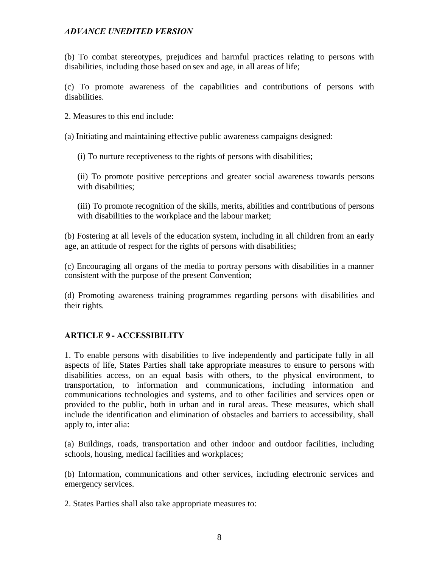(b) To combat stereotypes, prejudices and harmful practices relating to persons with disabilities, including those based on sex and age, in all areas of life;

(c) To promote awareness of the capabilities and contributions of persons with disabilities.

2. Measures to this end include:

(a) Initiating and maintaining effective public awareness campaigns designed:

(i) To nurture receptiveness to the rights of persons with disabilities;

(ii) To promote positive perceptions and greater social awareness towards persons with disabilities:

(iii) To promote recognition of the skills, merits, abilities and contributions of persons with disabilities to the workplace and the labour market;

(b) Fostering at all levels of the education system, including in all children from an early age, an attitude of respect for the rights of persons with disabilities;

(c) Encouraging all organs of the media to portray persons with disabilities in a manner consistent with the purpose of the present Convention;

(d) Promoting awareness training programmes regarding persons with disabilities and their rights.

# **ARTICLE 9 - ACCESSIBILITY**

1. To enable persons with disabilities to live independently and participate fully in all aspects of life, States Parties shall take appropriate measures to ensure to persons with disabilities access, on an equal basis with others, to the physical environment, to transportation, to information and communications, including information and communications technologies and systems, and to other facilities and services open or provided to the public, both in urban and in rural areas. These measures, which shall include the identification and elimination of obstacles and barriers to accessibility, shall apply to, inter alia:

(a) Buildings, roads, transportation and other indoor and outdoor facilities, including schools, housing, medical facilities and workplaces;

(b) Information, communications and other services, including electronic services and emergency services.

2. States Parties shall also take appropriate measures to: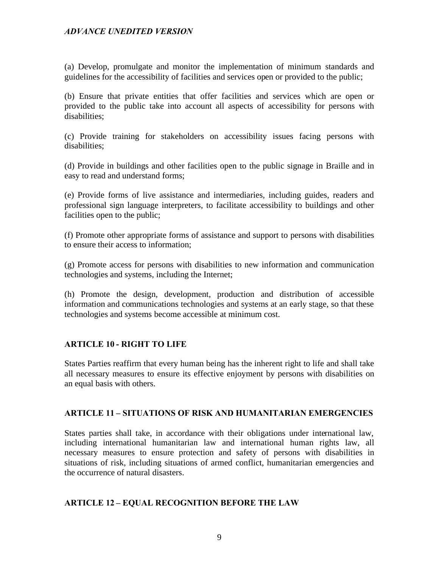(a) Develop, promulgate and monitor the implementation of minimum standards and guidelines for the accessibility of facilities and services open or provided to the public;

(b) Ensure that private entities that offer facilities and services which are open or provided to the public take into account all aspects of accessibility for persons with disabilities;

(c) Provide training for stakeholders on accessibility issues facing persons with disabilities;

(d) Provide in buildings and other facilities open to the public signage in Braille and in easy to read and understand forms;

(e) Provide forms of live assistance and intermediaries, including guides, readers and professional sign language interpreters, to facilitate accessibility to buildings and other facilities open to the public;

(f) Promote other appropriate forms of assistance and support to persons with disabilities to ensure their access to information;

(g) Promote access for persons with disabilities to new information and communication technologies and systems, including the Internet;

(h) Promote the design, development, production and distribution of accessible information and communications technologies and systems at an early stage, so that these technologies and systems become accessible at minimum cost.

# **ARTICLE 10 - RIGHT TO LIFE**

States Parties reaffirm that every human being has the inherent right to life and shall take all necessary measures to ensure its effective enjoyment by persons with disabilities on an equal basis with others.

#### **ARTICLE 11 – SITUATIONS OF RISK AND HUMANITARIAN EMERGENCIES**

States parties shall take, in accordance with their obligations under international law, including international humanitarian law and international human rights law, all necessary measures to ensure protection and safety of persons with disabilities in situations of risk, including situations of armed conflict, humanitarian emergencies and the occurrence of natural disasters.

#### **ARTICLE 12 – EQUAL RECOGNITION BEFORE THE LAW**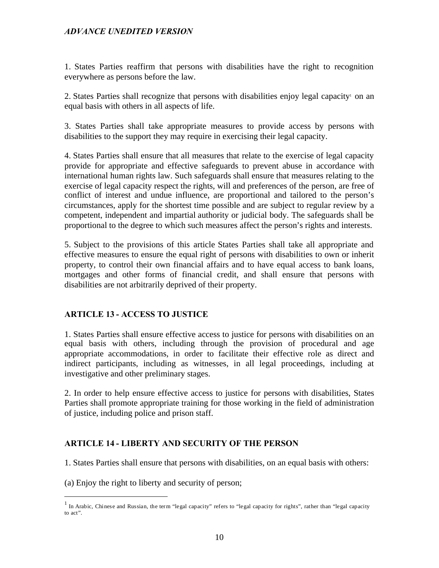1. States Parties reaffirm that persons with disabilities have the right to recognition everywhere as persons before the law.

2. States Parties shall recognize that persons with disabilities enjoy legal capacity<sup>[1](#page-9-0)</sup> on an equal basis with others in all aspects of life.

3. States Parties shall take appropriate measures to provide access by persons with disabilities to the support they may require in exercising their legal capacity.

4. States Parties shall ensure that all measures that relate to the exercise of legal capacity provide for appropriate and effective safeguards to prevent abuse in accordance with international human rights law. Such safeguards shall ensure that measures relating to the exercise of legal capacity respect the rights, will and preferences of the person, are free of conflict of interest and undue influence, are proportional and tailored to the person's circumstances, apply for the shortest time possible and are subject to regular review by a competent, independent and impartial authority or judicial body. The safeguards shall be proportional to the degree to which such measures affect the person's rights and interests.

5. Subject to the provisions of this article States Parties shall take all appropriate and effective measures to ensure the equal right of persons with disabilities to own or inherit property, to control their own financial affairs and to have equal access to bank loans, mortgages and other forms of financial credit, and shall ensure that persons with disabilities are not arbitrarily deprived of their property.

# **ARTICLE 13 - ACCESS TO JUSTICE**

1. States Parties shall ensure effective access to justice for persons with disabilities on an equal basis with others, including through the provision of procedural and age appropriate accommodations, in order to facilitate their effective role as direct and indirect participants, including as witnesses, in all legal proceedings, including at investigative and other preliminary stages.

2. In order to help ensure effective access to justice for persons with disabilities, States Parties shall promote appropriate training for those working in the field of administration of justice, including police and prison staff.

# **ARTICLE 14 - LIBERTY AND SECURITY OF THE PERSON**

1. States Parties shall ensure that persons with disabilities, on an equal basis with others:

(a) Enjoy the right to liberty and security of person;

<span id="page-9-0"></span> $<sup>1</sup>$  In Arabic, Chinese and Russian, the term "legal capacity" refers to "legal capacity for rights", rather than "legal capacity</sup> to act".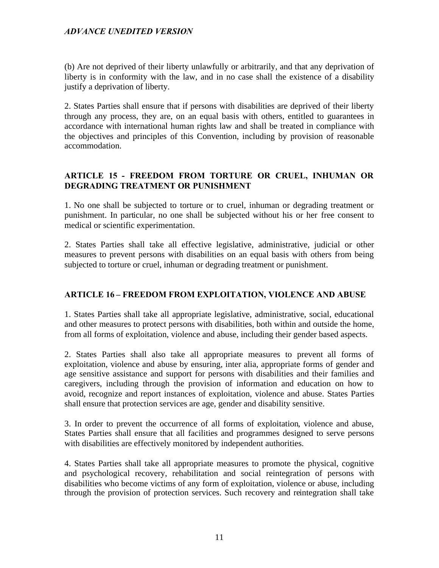(b) Are not deprived of their liberty unlawfully or arbitrarily, and that any deprivation of liberty is in conformity with the law, and in no case shall the existence of a disability justify a deprivation of liberty.

2. States Parties shall ensure that if persons with disabilities are deprived of their liberty through any process, they are, on an equal basis with others, entitled to guarantees in accordance with international human rights law and shall be treated in compliance with the objectives and principles of this Convention, including by provision of reasonable accommodation.

# **ARTICLE 15 - FREEDOM FROM TORTURE OR CRUEL, INHUMAN OR DEGRADING TREATMENT OR PUNISHMENT**

1. No one shall be subjected to torture or to cruel, inhuman or degrading treatment or punishment. In particular, no one shall be subjected without his or her free consent to medical or scientific experimentation.

2. States Parties shall take all effective legislative, administrative, judicial or other measures to prevent persons with disabilities on an equal basis with others from being subjected to torture or cruel, inhuman or degrading treatment or punishment.

# **ARTICLE 16 – FREEDOM FROM EXPLOITATION, VIOLENCE AND ABUSE**

1. States Parties shall take all appropriate legislative, administrative, social, educational and other measures to protect persons with disabilities, both within and outside the home, from all forms of exploitation, violence and abuse, including their gender based aspects.

2. States Parties shall also take all appropriate measures to prevent all forms of exploitation, violence and abuse by ensuring, inter alia, appropriate forms of gender and age sensitive assistance and support for persons with disabilities and their families and caregivers, including through the provision of information and education on how to avoid, recognize and report instances of exploitation, violence and abuse. States Parties shall ensure that protection services are age, gender and disability sensitive.

3. In order to prevent the occurrence of all forms of exploitation, violence and abuse, States Parties shall ensure that all facilities and programmes designed to serve persons with disabilities are effectively monitored by independent authorities.

4. States Parties shall take all appropriate measures to promote the physical, cognitive and psychological recovery, rehabilitation and social reintegration of persons with disabilities who become victims of any form of exploitation, violence or abuse, including through the provision of protection services. Such recovery and reintegration shall take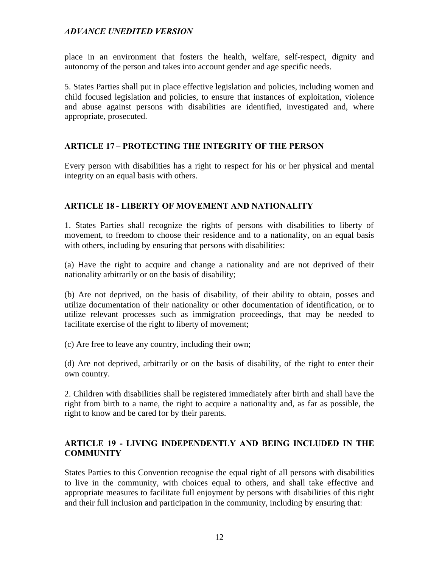place in an environment that fosters the health, welfare, self-respect, dignity and autonomy of the person and takes into account gender and age specific needs.

5. States Parties shall put in place effective legislation and policies, including women and child focused legislation and policies, to ensure that instances of exploitation, violence and abuse against persons with disabilities are identified, investigated and, where appropriate, prosecuted.

### **ARTICLE 17 – PROTECTING THE INTEGRITY OF THE PERSON**

Every person with disabilities has a right to respect for his or her physical and mental integrity on an equal basis with others.

### **ARTICLE 18 - LIBERTY OF MOVEMENT AND NATIONALITY**

1. States Parties shall recognize the rights of persons with disabilities to liberty of movement, to freedom to choose their residence and to a nationality, on an equal basis with others, including by ensuring that persons with disabilities:

(a) Have the right to acquire and change a nationality and are not deprived of their nationality arbitrarily or on the basis of disability;

(b) Are not deprived, on the basis of disability, of their ability to obtain, posses and utilize documentation of their nationality or other documentation of identification, or to utilize relevant processes such as immigration proceedings, that may be needed to facilitate exercise of the right to liberty of movement;

(c) Are free to leave any country, including their own;

(d) Are not deprived, arbitrarily or on the basis of disability, of the right to enter their own country.

2. Children with disabilities shall be registered immediately after birth and shall have the right from birth to a name, the right to acquire a nationality and, as far as possible, the right to know and be cared for by their parents.

# **ARTICLE 19 - LIVING INDEPENDENTLY AND BEING INCLUDED IN THE COMMUNITY**

States Parties to this Convention recognise the equal right of all persons with disabilities to live in the community, with choices equal to others, and shall take effective and appropriate measures to facilitate full enjoyment by persons with disabilities of this right and their full inclusion and participation in the community, including by ensuring that: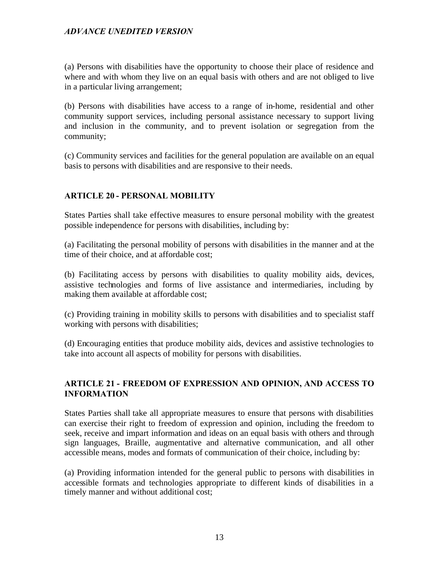(a) Persons with disabilities have the opportunity to choose their place of residence and where and with whom they live on an equal basis with others and are not obliged to live in a particular living arrangement;

(b) Persons with disabilities have access to a range of in-home, residential and other community support services, including personal assistance necessary to support living and inclusion in the community, and to prevent isolation or segregation from the community;

(c) Community services and facilities for the general population are available on an equal basis to persons with disabilities and are responsive to their needs.

### **ARTICLE 20 - PERSONAL MOBILITY**

States Parties shall take effective measures to ensure personal mobility with the greatest possible independence for persons with disabilities, including by:

(a) Facilitating the personal mobility of persons with disabilities in the manner and at the time of their choice, and at affordable cost;

(b) Facilitating access by persons with disabilities to quality mobility aids, devices, assistive technologies and forms of live assistance and intermediaries, including by making them available at affordable cost;

(c) Providing training in mobility skills to persons with disabilities and to specialist staff working with persons with disabilities;

(d) Encouraging entities that produce mobility aids, devices and assistive technologies to take into account all aspects of mobility for persons with disabilities.

#### **ARTICLE 21 - FREEDOM OF EXPRESSION AND OPINION, AND ACCESS TO INFORMATION**

States Parties shall take all appropriate measures to ensure that persons with disabilities can exercise their right to freedom of expression and opinion, including the freedom to seek, receive and impart information and ideas on an equal basis with others and through sign languages, Braille, augmentative and alternative communication, and all other accessible means, modes and formats of communication of their choice, including by:

(a) Providing information intended for the general public to persons with disabilities in accessible formats and technologies appropriate to different kinds of disabilities in a timely manner and without additional cost;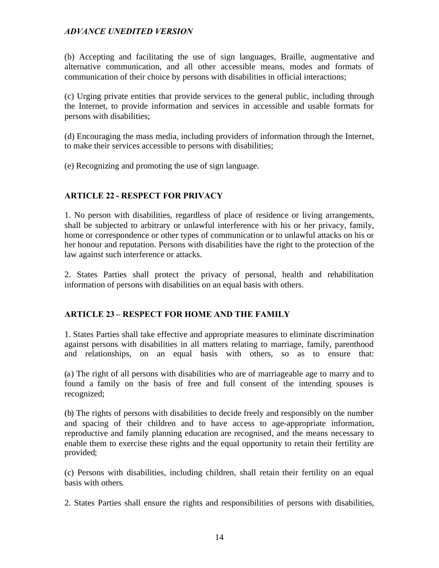(b) Accepting and facilitating the use of sign languages, Braille, augmentative and alternative communication, and all other accessible means, modes and formats of communication of their choice by persons with disabilities in official interactions;

(c) Urging private entities that provide services to the general public, including through the Internet, to provide information and services in accessible and usable formats for persons with disabilities;

(d) Encouraging the mass media, including providers of information through the Internet, to make their services accessible to persons with disabilities;

(e) Recognizing and promoting the use of sign language.

# **ARTICLE 22 - RESPECT FOR PRIVACY**

1. No person with disabilities, regardless of place of residence or living arrangements, shall be subjected to arbitrary or unlawful interference with his or her privacy, family, home or correspondence or other types of communication or to unlawful attacks on his or her honour and reputation. Persons with disabilities have the right to the protection of the law against such interference or attacks.

2. States Parties shall protect the privacy of personal, health and rehabilitation information of persons with disabilities on an equal basis with others.

# **ARTICLE 23 – RESPECT FOR HOME AND THE FAMILY**

1. States Parties shall take effective and appropriate measures to eliminate discrimination against persons with disabilities in all matters relating to marriage, family, parenthood and relationships, on an equal basis with others, so as to ensure that:

(a) The right of all persons with disabilities who are of marriageable age to marry and to found a family on the basis of free and full consent of the intending spouses is recognized;

(b) The rights of persons with disabilities to decide freely and responsibly on the number and spacing of their children and to have access to age-appropriate information, reproductive and family planning education are recognised, and the means necessary to enable them to exercise these rights and the equal opportunity to retain their fertility are provided;

(c) Persons with disabilities, including children, shall retain their fertility on an equal basis with others.

2. States Parties shall ensure the rights and responsibilities of persons with disabilities,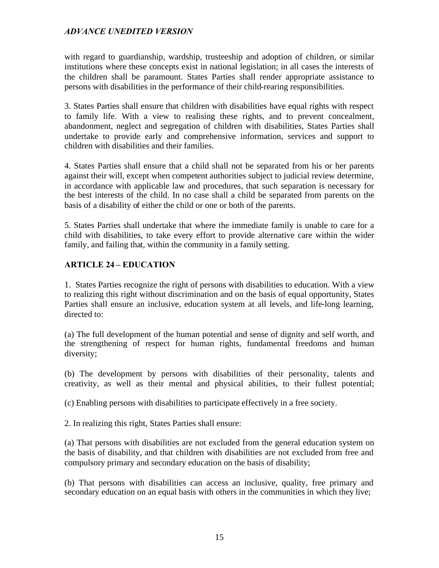with regard to guardianship, wardship, trusteeship and adoption of children, or similar institutions where these concepts exist in national legislation; in all cases the interests of the children shall be paramount. States Parties shall render appropriate assistance to persons with disabilities in the performance of their child-rearing responsibilities.

3. States Parties shall ensure that children with disabilities have equal rights with respect to family life. With a view to realising these rights, and to prevent concealment, abandonment, neglect and segregation of children with disabilities, States Parties shall undertake to provide early and comprehensive information, services and support to children with disabilities and their families.

4. States Parties shall ensure that a child shall not be separated from his or her parents against their will, except when competent authorities subject to judicial review determine, in accordance with applicable law and procedures, that such separation is necessary for the best interests of the child. In no case shall a child be separated from parents on the basis of a disability of either the child or one or both of the parents.

5. States Parties shall undertake that where the immediate family is unable to care for a child with disabilities, to take every effort to provide alternative care within the wider family, and failing that, within the community in a family setting.

# **ARTICLE 24 – EDUCATION**

1. States Parties recognize the right of persons with disabilities to education. With a view to realizing this right without discrimination and on the basis of equal opportunity, States Parties shall ensure an inclusive, education system at all levels, and life-long learning, directed to:

(a) The full development of the human potential and sense of dignity and self worth, and the strengthening of respect for human rights, fundamental freedoms and human diversity;

(b) The development by persons with disabilities of their personality, talents and creativity, as well as their mental and physical abilities, to their fullest potential;

(c) Enabling persons with disabilities to participate effectively in a free society.

2. In realizing this right, States Parties shall ensure:

(a) That persons with disabilities are not excluded from the general education system on the basis of disability, and that children with disabilities are not excluded from free and compulsory primary and secondary education on the basis of disability;

(b) That persons with disabilities can access an inclusive, quality, free primary and secondary education on an equal basis with others in the communities in which they live;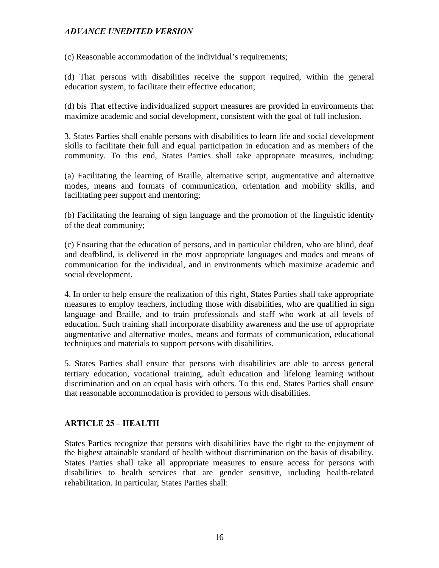(c) Reasonable accommodation of the individual's requirements;

(d) That persons with disabilities receive the support required, within the general education system, to facilitate their effective education;

(d) bis That effective individualized support measures are provided in environments that maximize academic and social development, consistent with the goal of full inclusion.

3. States Parties shall enable persons with disabilities to learn life and social development skills to facilitate their full and equal participation in education and as members of the community. To this end, States Parties shall take appropriate measures, including:

(a) Facilitating the learning of Braille, alternative script, augmentative and alternative modes, means and formats of communication, orientation and mobility skills, and facilitating peer support and mentoring;

(b) Facilitating the learning of sign language and the promotion of the linguistic identity of the deaf community;

(c) Ensuring that the education of persons, and in particular children, who are blind, deaf and deafblind, is delivered in the most appropriate languages and modes and means of communication for the individual, and in environments which maximize academic and social development.

4. In order to help ensure the realization of this right, States Parties shall take appropriate measures to employ teachers, including those with disabilities, who are qualified in sign language and Braille, and to train professionals and staff who work at all levels of education. Such training shall incorporate disability awareness and the use of appropriate augmentative and alternative modes, means and formats of communication, educational techniques and materials to support persons with disabilities.

5. States Parties shall ensure that persons with disabilities are able to access general tertiary education, vocational training, adult education and lifelong learning without discrimination and on an equal basis with others. To this end, States Parties shall ensure that reasonable accommodation is provided to persons with disabilities.

#### **ARTICLE 25 – HEALTH**

States Parties recognize that persons with disabilities have the right to the enjoyment of the highest attainable standard of health without discrimination on the basis of disability. States Parties shall take all appropriate measures to ensure access for persons with disabilities to health services that are gender sensitive, including health-related rehabilitation. In particular, States Parties shall: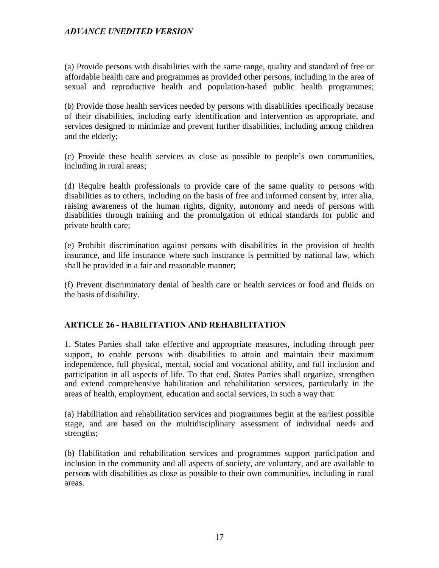(a) Provide persons with disabilities with the same range, quality and standard of free or affordable health care and programmes as provided other persons, including in the area of sexual and reproductive health and population-based public health programmes;

(b) Provide those health services needed by persons with disabilities specifically because of their disabilities, including early identification and intervention as appropriate, and services designed to minimize and prevent further disabilities, including among children and the elderly;

(c) Provide these health services as close as possible to people's own communities, including in rural areas;

(d) Require health professionals to provide care of the same quality to persons with disabilities as to others, including on the basis of free and informed consent by, inter alia, raising awareness of the human rights, dignity, autonomy and needs of persons with disabilities through training and the promulgation of ethical standards for public and private health care;

(e) Prohibit discrimination against persons with disabilities in the provision of health insurance, and life insurance where such insurance is permitted by national law, which shall be provided in a fair and reasonable manner;

(f) Prevent discriminatory denial of health care or health services or food and fluids on the basis of disability.

# **ARTICLE 26 - HABILITATION AND REHABILITATION**

1. States Parties shall take effective and appropriate measures, including through peer support, to enable persons with disabilities to attain and maintain their maximum independence, full physical, mental, social and vocational ability, and full inclusion and participation in all aspects of life. To that end, States Parties shall organize, strengthen and extend comprehensive habilitation and rehabilitation services, particularly in the areas of health, employment, education and social services, in such a way that:

(a) Habilitation and rehabilitation services and programmes begin at the earliest possible stage, and are based on the multidisciplinary assessment of individual needs and strengths;

(b) Habilitation and rehabilitation services and programmes support participation and inclusion in the community and all aspects of society, are voluntary, and are available to persons with disabilities as close as possible to their own communities, including in rural areas.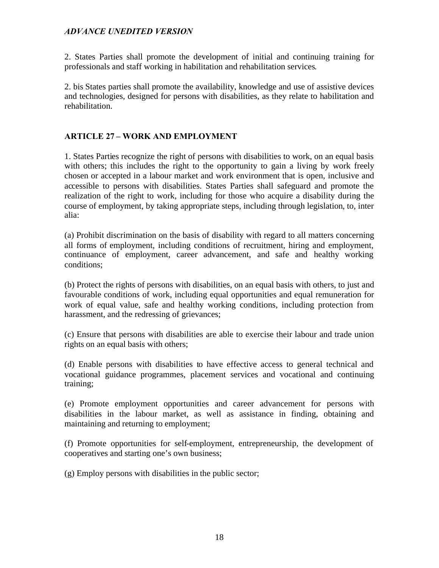2. States Parties shall promote the development of initial and continuing training for professionals and staff working in habilitation and rehabilitation services.

2. bis States parties shall promote the availability, knowledge and use of assistive devices and technologies, designed for persons with disabilities, as they relate to habilitation and rehabilitation.

### **ARTICLE 27 – WORK AND EMPLOYMENT**

1. States Parties recognize the right of persons with disabilities to work, on an equal basis with others; this includes the right to the opportunity to gain a living by work freely chosen or accepted in a labour market and work environment that is open, inclusive and accessible to persons with disabilities. States Parties shall safeguard and promote the realization of the right to work, including for those who acquire a disability during the course of employment, by taking appropriate steps, including through legislation, to, inter alia:

(a) Prohibit discrimination on the basis of disability with regard to all matters concerning all forms of employment, including conditions of recruitment, hiring and employment, continuance of employment, career advancement, and safe and healthy working conditions;

(b) Protect the rights of persons with disabilities, on an equal basis with others, to just and favourable conditions of work, including equal opportunities and equal remuneration for work of equal value, safe and healthy working conditions, including protection from harassment, and the redressing of grievances;

(c) Ensure that persons with disabilities are able to exercise their labour and trade union rights on an equal basis with others;

(d) Enable persons with disabilities to have effective access to general technical and vocational guidance programmes, placement services and vocational and continuing training;

(e) Promote employment opportunities and career advancement for persons with disabilities in the labour market, as well as assistance in finding, obtaining and maintaining and returning to employment;

(f) Promote opportunities for self-employment, entrepreneurship, the development of cooperatives and starting one's own business;

(g) Employ persons with disabilities in the public sector;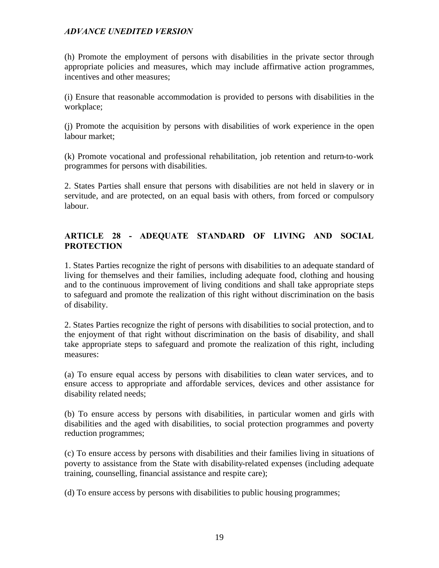(h) Promote the employment of persons with disabilities in the private sector through appropriate policies and measures, which may include affirmative action programmes, incentives and other measures;

(i) Ensure that reasonable accommodation is provided to persons with disabilities in the workplace;

(j) Promote the acquisition by persons with disabilities of work experience in the open labour market;

(k) Promote vocational and professional rehabilitation, job retention and return-to-work programmes for persons with disabilities.

2. States Parties shall ensure that persons with disabilities are not held in slavery or in servitude, and are protected, on an equal basis with others, from forced or compulsory labour.

# **ARTICLE 28 - ADEQUATE STANDARD OF LIVING AND SOCIAL PROTECTION**

1. States Parties recognize the right of persons with disabilities to an adequate standard of living for themselves and their families, including adequate food, clothing and housing and to the continuous improvement of living conditions and shall take appropriate steps to safeguard and promote the realization of this right without discrimination on the basis of disability.

2. States Parties recognize the right of persons with disabilities to social protection, and to the enjoyment of that right without discrimination on the basis of disability, and shall take appropriate steps to safeguard and promote the realization of this right, including measures:

(a) To ensure equal access by persons with disabilities to clean water services, and to ensure access to appropriate and affordable services, devices and other assistance for disability related needs;

(b) To ensure access by persons with disabilities, in particular women and girls with disabilities and the aged with disabilities, to social protection programmes and poverty reduction programmes;

(c) To ensure access by persons with disabilities and their families living in situations of poverty to assistance from the State with disability-related expenses (including adequate training, counselling, financial assistance and respite care);

(d) To ensure access by persons with disabilities to public housing programmes;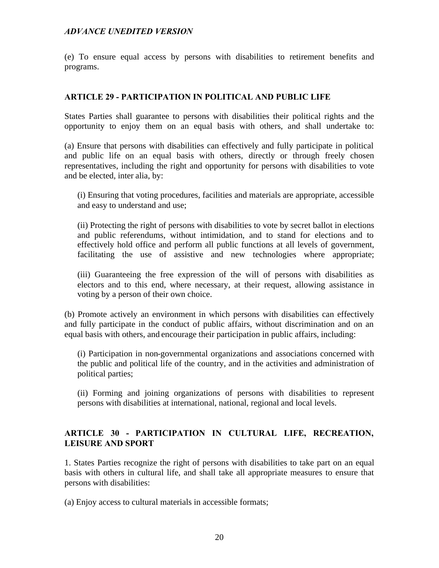(e) To ensure equal access by persons with disabilities to retirement benefits and programs.

### **ARTICLE 29 - PARTICIPATION IN POLITICAL AND PUBLIC LIFE**

States Parties shall guarantee to persons with disabilities their political rights and the opportunity to enjoy them on an equal basis with others, and shall undertake to:

(a) Ensure that persons with disabilities can effectively and fully participate in political and public life on an equal basis with others, directly or through freely chosen representatives, including the right and opportunity for persons with disabilities to vote and be elected, inter alia, by:

(i) Ensuring that voting procedures, facilities and materials are appropriate, accessible and easy to understand and use;

(ii) Protecting the right of persons with disabilities to vote by secret ballot in elections and public referendums, without intimidation, and to stand for elections and to effectively hold office and perform all public functions at all levels of government, facilitating the use of assistive and new technologies where appropriate;

(iii) Guaranteeing the free expression of the will of persons with disabilities as electors and to this end, where necessary, at their request, allowing assistance in voting by a person of their own choice.

(b) Promote actively an environment in which persons with disabilities can effectively and fully participate in the conduct of public affairs, without discrimination and on an equal basis with others, and encourage their participation in public affairs, including:

(i) Participation in non-governmental organizations and associations concerned with the public and political life of the country, and in the activities and administration of political parties;

(ii) Forming and joining organizations of persons with disabilities to represent persons with disabilities at international, national, regional and local levels.

# **ARTICLE 30 - PARTICIPATION IN CULTURAL LIFE, RECREATION, LEISURE AND SPORT**

1. States Parties recognize the right of persons with disabilities to take part on an equal basis with others in cultural life, and shall take all appropriate measures to ensure that persons with disabilities:

(a) Enjoy access to cultural materials in accessible formats;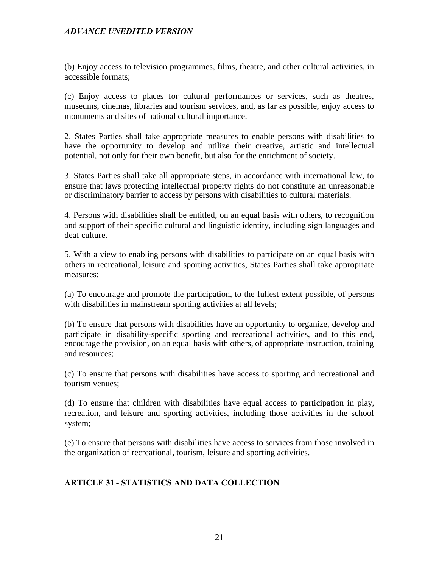(b) Enjoy access to television programmes, films, theatre, and other cultural activities, in accessible formats;

(c) Enjoy access to places for cultural performances or services, such as theatres, museums, cinemas, libraries and tourism services, and, as far as possible, enjoy access to monuments and sites of national cultural importance.

2. States Parties shall take appropriate measures to enable persons with disabilities to have the opportunity to develop and utilize their creative, artistic and intellectual potential, not only for their own benefit, but also for the enrichment of society.

3. States Parties shall take all appropriate steps, in accordance with international law, to ensure that laws protecting intellectual property rights do not constitute an unreasonable or discriminatory barrier to access by persons with disabilities to cultural materials.

4. Persons with disabilities shall be entitled, on an equal basis with others, to recognition and support of their specific cultural and linguistic identity, including sign languages and deaf culture.

5. With a view to enabling persons with disabilities to participate on an equal basis with others in recreational, leisure and sporting activities, States Parties shall take appropriate measures:

(a) To encourage and promote the participation, to the fullest extent possible, of persons with disabilities in mainstream sporting activities at all levels;

(b) To ensure that persons with disabilities have an opportunity to organize, develop and participate in disability-specific sporting and recreational activities, and to this end, encourage the provision, on an equal basis with others, of appropriate instruction, training and resources;

(c) To ensure that persons with disabilities have access to sporting and recreational and tourism venues;

(d) To ensure that children with disabilities have equal access to participation in play, recreation, and leisure and sporting activities, including those activities in the school system;

(e) To ensure that persons with disabilities have access to services from those involved in the organization of recreational, tourism, leisure and sporting activities.

# **ARTICLE 31 - STATISTICS AND DATA COLLECTION**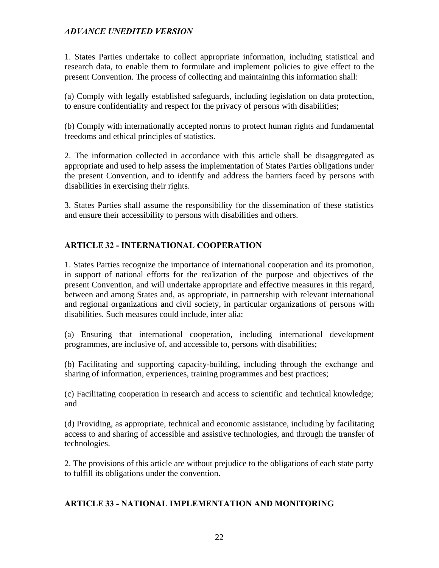1. States Parties undertake to collect appropriate information, including statistical and research data, to enable them to formulate and implement policies to give effect to the present Convention. The process of collecting and maintaining this information shall:

(a) Comply with legally established safeguards, including legislation on data protection, to ensure confidentiality and respect for the privacy of persons with disabilities;

(b) Comply with internationally accepted norms to protect human rights and fundamental freedoms and ethical principles of statistics.

2. The information collected in accordance with this article shall be disaggregated as appropriate and used to help assess the implementation of States Parties obligations under the present Convention, and to identify and address the barriers faced by persons with disabilities in exercising their rights.

3. States Parties shall assume the responsibility for the dissemination of these statistics and ensure their accessibility to persons with disabilities and others.

# **ARTICLE 32 - INTERNATIONAL COOPERATION**

1. States Parties recognize the importance of international cooperation and its promotion, in support of national efforts for the realization of the purpose and objectives of the present Convention, and will undertake appropriate and effective measures in this regard, between and among States and, as appropriate, in partnership with relevant international and regional organizations and civil society, in particular organizations of persons with disabilities. Such measures could include, inter alia:

(a) Ensuring that international cooperation, including international development programmes, are inclusive of, and accessible to, persons with disabilities;

(b) Facilitating and supporting capacity-building, including through the exchange and sharing of information, experiences, training programmes and best practices;

(c) Facilitating cooperation in research and access to scientific and technical knowledge; and

(d) Providing, as appropriate, technical and economic assistance, including by facilitating access to and sharing of accessible and assistive technologies, and through the transfer of technologies.

2. The provisions of this article are without prejudice to the obligations of each state party to fulfill its obligations under the convention.

# **ARTICLE 33 - NATIONAL IMPLEMENTATION AND MONITORING**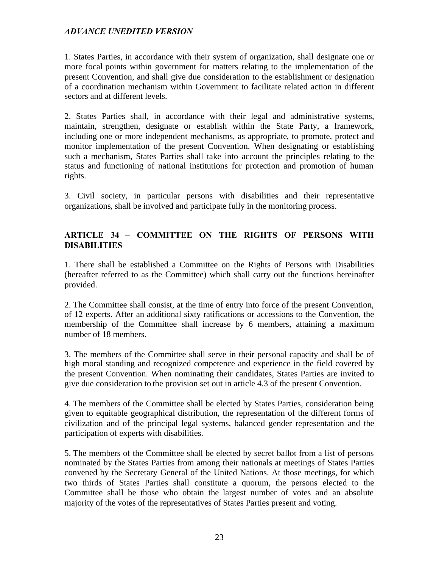1. States Parties, in accordance with their system of organization, shall designate one or more focal points within government for matters relating to the implementation of the present Convention, and shall give due consideration to the establishment or designation of a coordination mechanism within Government to facilitate related action in different sectors and at different levels.

2. States Parties shall, in accordance with their legal and administrative systems, maintain, strengthen, designate or establish within the State Party, a framework, including one or more independent mechanisms, as appropriate, to promote, protect and monitor implementation of the present Convention. When designating or establishing such a mechanism, States Parties shall take into account the principles relating to the status and functioning of national institutions for protection and promotion of human rights.

3. Civil society, in particular persons with disabilities and their representative organizations, shall be involved and participate fully in the monitoring process.

### **ARTICLE 34 – COMMITTEE ON THE RIGHTS OF PERSONS WITH DISABILITIES**

1. There shall be established a Committee on the Rights of Persons with Disabilities (hereafter referred to as the Committee) which shall carry out the functions hereinafter provided.

2. The Committee shall consist, at the time of entry into force of the present Convention, of 12 experts. After an additional sixty ratifications or accessions to the Convention, the membership of the Committee shall increase by 6 members, attaining a maximum number of 18 members.

3. The members of the Committee shall serve in their personal capacity and shall be of high moral standing and recognized competence and experience in the field covered by the present Convention. When nominating their candidates, States Parties are invited to give due consideration to the provision set out in article 4.3 of the present Convention.

4. The members of the Committee shall be elected by States Parties, consideration being given to equitable geographical distribution, the representation of the different forms of civilization and of the principal legal systems, balanced gender representation and the participation of experts with disabilities.

5. The members of the Committee shall be elected by secret ballot from a list of persons nominated by the States Parties from among their nationals at meetings of States Parties convened by the Secretary General of the United Nations. At those meetings, for which two thirds of States Parties shall constitute a quorum, the persons elected to the Committee shall be those who obtain the largest number of votes and an absolute majority of the votes of the representatives of States Parties present and voting.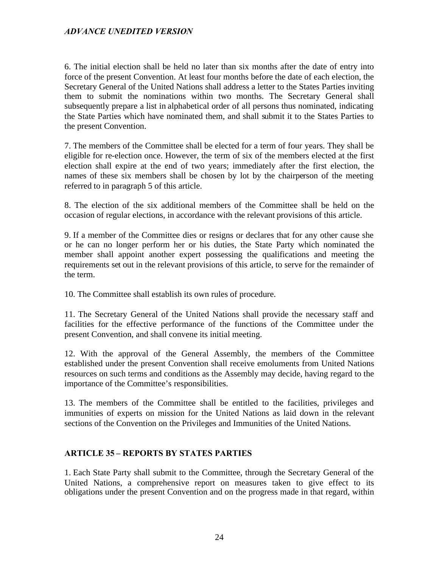6. The initial election shall be held no later than six months after the date of entry into force of the present Convention. At least four months before the date of each election, the Secretary General of the United Nations shall address a letter to the States Parties inviting them to submit the nominations within two months. The Secretary General shall subsequently prepare a list in alphabetical order of all persons thus nominated, indicating the State Parties which have nominated them, and shall submit it to the States Parties to the present Convention.

7. The members of the Committee shall be elected for a term of four years. They shall be eligible for re-election once. However, the term of six of the members elected at the first election shall expire at the end of two years; immediately after the first election, the names of these six members shall be chosen by lot by the chairperson of the meeting referred to in paragraph 5 of this article.

8. The election of the six additional members of the Committee shall be held on the occasion of regular elections, in accordance with the relevant provisions of this article.

9. If a member of the Committee dies or resigns or declares that for any other cause she or he can no longer perform her or his duties, the State Party which nominated the member shall appoint another expert possessing the qualifications and meeting the requirements set out in the relevant provisions of this article, to serve for the remainder of the term.

10. The Committee shall establish its own rules of procedure.

11. The Secretary General of the United Nations shall provide the necessary staff and facilities for the effective performance of the functions of the Committee under the present Convention, and shall convene its initial meeting.

12. With the approval of the General Assembly, the members of the Committee established under the present Convention shall receive emoluments from United Nations resources on such terms and conditions as the Assembly may decide, having regard to the importance of the Committee's responsibilities.

13. The members of the Committee shall be entitled to the facilities, privileges and immunities of experts on mission for the United Nations as laid down in the relevant sections of the Convention on the Privileges and Immunities of the United Nations.

#### **ARTICLE 35 – REPORTS BY STATES PARTIES**

1. Each State Party shall submit to the Committee, through the Secretary General of the United Nations, a comprehensive report on measures taken to give effect to its obligations under the present Convention and on the progress made in that regard, within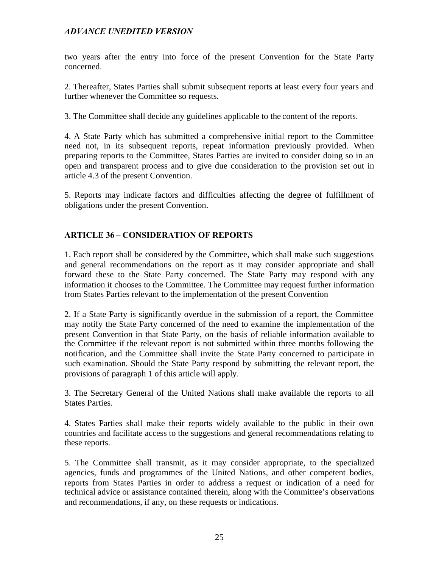two years after the entry into force of the present Convention for the State Party concerned.

2. Thereafter, States Parties shall submit subsequent reports at least every four years and further whenever the Committee so requests.

3. The Committee shall decide any guidelines applicable to the content of the reports.

4. A State Party which has submitted a comprehensive initial report to the Committee need not, in its subsequent reports, repeat information previously provided. When preparing reports to the Committee, States Parties are invited to consider doing so in an open and transparent process and to give due consideration to the provision set out in article 4.3 of the present Convention.

5. Reports may indicate factors and difficulties affecting the degree of fulfillment of obligations under the present Convention.

# **ARTICLE 36 – CONSIDERATION OF REPORTS**

1. Each report shall be considered by the Committee, which shall make such suggestions and general recommendations on the report as it may consider appropriate and shall forward these to the State Party concerned. The State Party may respond with any information it chooses to the Committee. The Committee may request further information from States Parties relevant to the implementation of the present Convention

2. If a State Party is significantly overdue in the submission of a report, the Committee may notify the State Party concerned of the need to examine the implementation of the present Convention in that State Party, on the basis of reliable information available to the Committee if the relevant report is not submitted within three months following the notification, and the Committee shall invite the State Party concerned to participate in such examination. Should the State Party respond by submitting the relevant report, the provisions of paragraph 1 of this article will apply.

3. The Secretary General of the United Nations shall make available the reports to all States Parties.

4. States Parties shall make their reports widely available to the public in their own countries and facilitate access to the suggestions and general recommendations relating to these reports.

5. The Committee shall transmit, as it may consider appropriate, to the specialized agencies, funds and programmes of the United Nations, and other competent bodies, reports from States Parties in order to address a request or indication of a need for technical advice or assistance contained therein, along with the Committee's observations and recommendations, if any, on these requests or indications.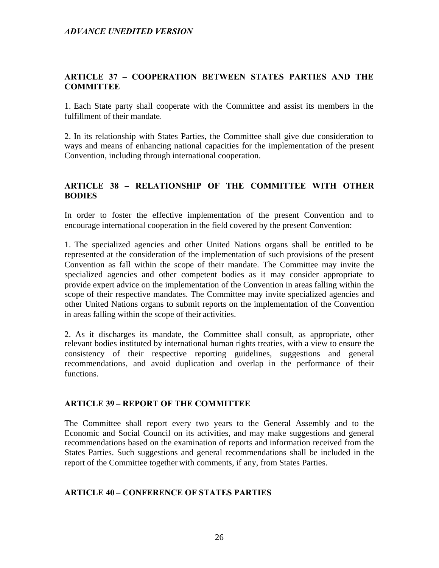#### **ARTICLE 37 – COOPERATION BETWEEN STATES PARTIES AND THE COMMITTEE**

1. Each State party shall cooperate with the Committee and assist its members in the fulfillment of their mandate.

2. In its relationship with States Parties, the Committee shall give due consideration to ways and means of enhancing national capacities for the implementation of the present Convention, including through international cooperation.

# **ARTICLE 38 – RELATIONSHIP OF THE COMMITTEE WITH OTHER BODIES**

In order to foster the effective implementation of the present Convention and to encourage international cooperation in the field covered by the present Convention:

1. The specialized agencies and other United Nations organs shall be entitled to be represented at the consideration of the implementation of such provisions of the present Convention as fall within the scope of their mandate. The Committee may invite the specialized agencies and other competent bodies as it may consider appropriate to provide expert advice on the implementation of the Convention in areas falling within the scope of their respective mandates. The Committee may invite specialized agencies and other United Nations organs to submit reports on the implementation of the Convention in areas falling within the scope of their activities.

2. As it discharges its mandate, the Committee shall consult, as appropriate, other relevant bodies instituted by international human rights treaties, with a view to ensure the consistency of their respective reporting guidelines, suggestions and general recommendations, and avoid duplication and overlap in the performance of their functions.

#### **ARTICLE 39 – REPORT OF THE COMMITTEE**

The Committee shall report every two years to the General Assembly and to the Economic and Social Council on its activities, and may make suggestions and general recommendations based on the examination of reports and information received from the States Parties. Such suggestions and general recommendations shall be included in the report of the Committee together with comments, if any, from States Parties.

#### **ARTICLE 40 – CONFERENCE OF STATES PARTIES**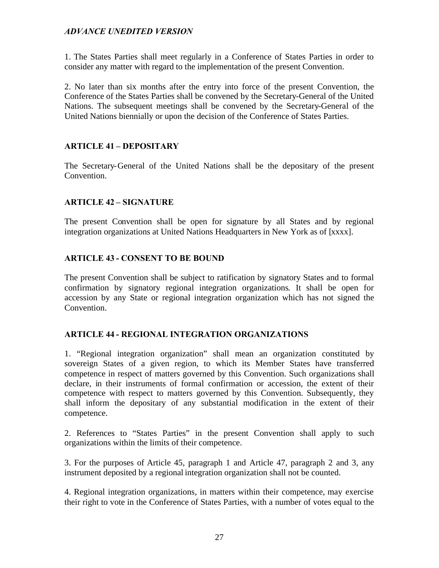1. The States Parties shall meet regularly in a Conference of States Parties in order to consider any matter with regard to the implementation of the present Convention.

2. No later than six months after the entry into force of the present Convention, the Conference of the States Parties shall be convened by the Secretary-General of the United Nations. The subsequent meetings shall be convened by the Secretary-General of the United Nations biennially or upon the decision of the Conference of States Parties.

### **ARTICLE 41 – DEPOSITARY**

The Secretary-General of the United Nations shall be the depositary of the present Convention.

### **ARTICLE 42 – SIGNATURE**

The present Convention shall be open for signature by all States and by regional integration organizations at United Nations Headquarters in New York as of [xxxx].

### **ARTICLE 43 - CONSENT TO BE BOUND**

The present Convention shall be subject to ratification by signatory States and to formal confirmation by signatory regional integration organizations. It shall be open for accession by any State or regional integration organization which has not signed the Convention.

#### **ARTICLE 44 - REGIONAL INTEGRATION ORGANIZATIONS**

1. "Regional integration organization" shall mean an organization constituted by sovereign States of a given region, to which its Member States have transferred competence in respect of matters governed by this Convention. Such organizations shall declare, in their instruments of formal confirmation or accession, the extent of their competence with respect to matters governed by this Convention. Subsequently, they shall inform the depositary of any substantial modification in the extent of their competence.

2. References to "States Parties" in the present Convention shall apply to such organizations within the limits of their competence.

3. For the purposes of Article 45, paragraph 1 and Article 47, paragraph 2 and 3, any instrument deposited by a regional integration organization shall not be counted.

4. Regional integration organizations, in matters within their competence, may exercise their right to vote in the Conference of States Parties, with a number of votes equal to the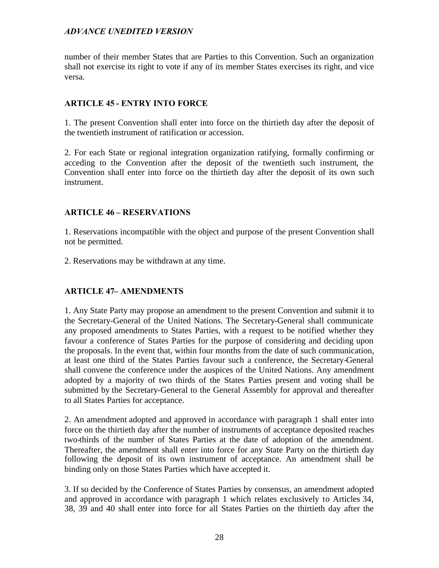number of their member States that are Parties to this Convention. Such an organization shall not exercise its right to vote if any of its member States exercises its right, and vice versa.

### **ARTICLE 45 - ENTRY INTO FORCE**

1. The present Convention shall enter into force on the thirtieth day after the deposit of the twentieth instrument of ratification or accession.

2. For each State or regional integration organization ratifying, formally confirming or acceding to the Convention after the deposit of the twentieth such instrument, the Convention shall enter into force on the thirtieth day after the deposit of its own such instrument.

### **ARTICLE 46 – RESERVATIONS**

1. Reservations incompatible with the object and purpose of the present Convention shall not be permitted.

2. Reservations may be withdrawn at any time.

# **ARTICLE 47– AMENDMENTS**

1. Any State Party may propose an amendment to the present Convention and submit it to the Secretary-General of the United Nations. The Secretary-General shall communicate any proposed amendments to States Parties, with a request to be notified whether they favour a conference of States Parties for the purpose of considering and deciding upon the proposals. In the event that, within four months from the date of such communication, at least one third of the States Parties favour such a conference, the Secretary-General shall convene the conference under the auspices of the United Nations. Any amendment adopted by a majority of two thirds of the States Parties present and voting shall be submitted by the Secretary-General to the General Assembly for approval and thereafter to all States Parties for acceptance.

2. An amendment adopted and approved in accordance with paragraph 1 shall enter into force on the thirtieth day after the number of instruments of acceptance deposited reaches two-thirds of the number of States Parties at the date of adoption of the amendment. Thereafter, the amendment shall enter into force for any State Party on the thirtieth day following the deposit of its own instrument of acceptance. An amendment shall be binding only on those States Parties which have accepted it.

3. If so decided by the Conference of States Parties by consensus, an amendment adopted and approved in accordance with paragraph 1 which relates exclusively to Articles 34, 38, 39 and 40 shall enter into force for all States Parties on the thirtieth day after the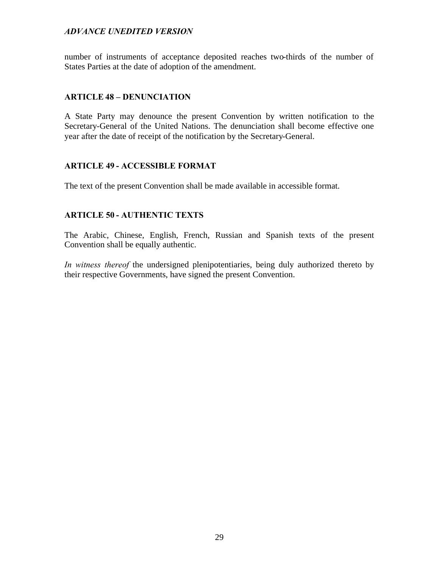number of instruments of acceptance deposited reaches two-thirds of the number of States Parties at the date of adoption of the amendment.

### **ARTICLE 48 – DENUNCIATION**

A State Party may denounce the present Convention by written notification to the Secretary-General of the United Nations. The denunciation shall become effective one year after the date of receipt of the notification by the Secretary-General.

### **ARTICLE 49 - ACCESSIBLE FORMAT**

The text of the present Convention shall be made available in accessible format.

### **ARTICLE 50 - AUTHENTIC TEXTS**

The Arabic, Chinese, English, French, Russian and Spanish texts of the present Convention shall be equally authentic.

*In witness thereof* the undersigned plenipotentiaries, being duly authorized thereto by their respective Governments, have signed the present Convention.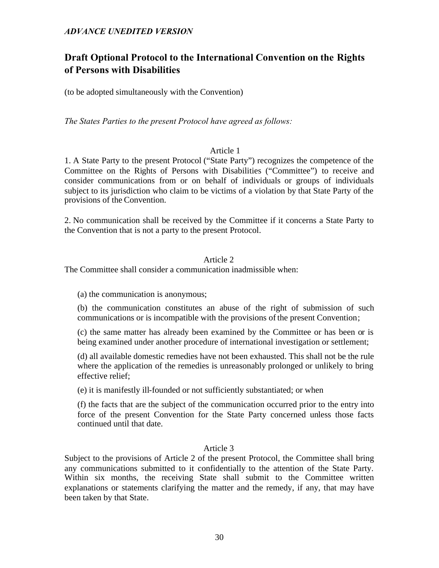# **Draft Optional Protocol to the International Convention on the Rights of Persons with Disabilities**

(to be adopted simultaneously with the Convention)

*The States Parties to the present Protocol have agreed as follows:*

#### Article 1

1. A State Party to the present Protocol ("State Party") recognizes the competence of the Committee on the Rights of Persons with Disabilities ("Committee") to receive and consider communications from or on behalf of individuals or groups of individuals subject to its jurisdiction who claim to be victims of a violation by that State Party of the provisions of the Convention.

2. No communication shall be received by the Committee if it concerns a State Party to the Convention that is not a party to the present Protocol.

#### Article 2

The Committee shall consider a communication inadmissible when:

(a) the communication is anonymous;

(b) the communication constitutes an abuse of the right of submission of such communications or is incompatible with the provisions of the present Convention;

(c) the same matter has already been examined by the Committee or has been or is being examined under another procedure of international investigation or settlement;

(d) all available domestic remedies have not been exhausted. This shall not be the rule where the application of the remedies is unreasonably prolonged or unlikely to bring effective relief;

(e) it is manifestly ill-founded or not sufficiently substantiated; or when

(f) the facts that are the subject of the communication occurred prior to the entry into force of the present Convention for the State Party concerned unless those facts continued until that date.

#### Article 3

Subject to the provisions of Article 2 of the present Protocol, the Committee shall bring any communications submitted to it confidentially to the attention of the State Party. Within six months, the receiving State shall submit to the Committee written explanations or statements clarifying the matter and the remedy, if any, that may have been taken by that State.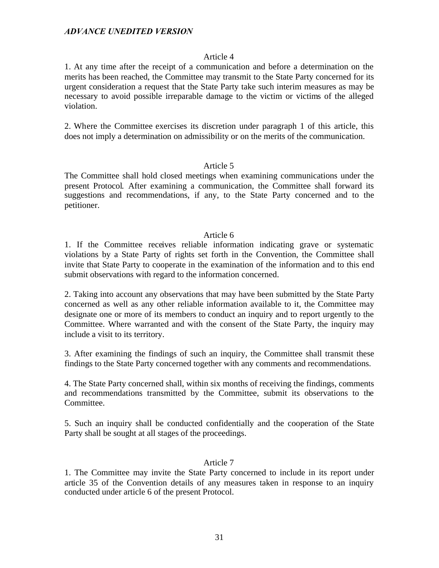#### Article 4

1. At any time after the receipt of a communication and before a determination on the merits has been reached, the Committee may transmit to the State Party concerned for its urgent consideration a request that the State Party take such interim measures as may be necessary to avoid possible irreparable damage to the victim or victims of the alleged violation.

2. Where the Committee exercises its discretion under paragraph 1 of this article, this does not imply a determination on admissibility or on the merits of the communication.

### Article 5

The Committee shall hold closed meetings when examining communications under the present Protocol. After examining a communication, the Committee shall forward its suggestions and recommendations, if any, to the State Party concerned and to the petitioner.

### Article 6

1. If the Committee receives reliable information indicating grave or systematic violations by a State Party of rights set forth in the Convention, the Committee shall invite that State Party to cooperate in the examination of the information and to this end submit observations with regard to the information concerned.

2. Taking into account any observations that may have been submitted by the State Party concerned as well as any other reliable information available to it, the Committee may designate one or more of its members to conduct an inquiry and to report urgently to the Committee. Where warranted and with the consent of the State Party, the inquiry may include a visit to its territory.

3. After examining the findings of such an inquiry, the Committee shall transmit these findings to the State Party concerned together with any comments and recommendations.

4. The State Party concerned shall, within six months of receiving the findings, comments and recommendations transmitted by the Committee, submit its observations to the Committee.

5. Such an inquiry shall be conducted confidentially and the cooperation of the State Party shall be sought at all stages of the proceedings.

# Article 7

1. The Committee may invite the State Party concerned to include in its report under article 35 of the Convention details of any measures taken in response to an inquiry conducted under article 6 of the present Protocol.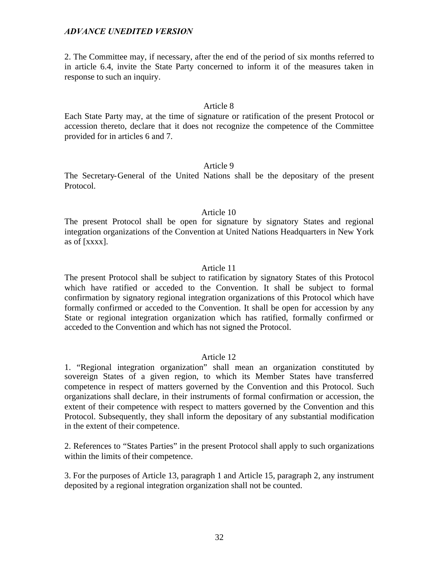2. The Committee may, if necessary, after the end of the period of six months referred to in article 6.4, invite the State Party concerned to inform it of the measures taken in response to such an inquiry.

#### Article 8

Each State Party may, at the time of signature or ratification of the present Protocol or accession thereto, declare that it does not recognize the competence of the Committee provided for in articles 6 and 7.

#### Article 9

The Secretary-General of the United Nations shall be the depositary of the present Protocol.

#### Article 10

The present Protocol shall be open for signature by signatory States and regional integration organizations of the Convention at United Nations Headquarters in New York as of [xxxx].

#### Article 11

The present Protocol shall be subject to ratification by signatory States of this Protocol which have ratified or acceded to the Convention. It shall be subject to formal confirmation by signatory regional integration organizations of this Protocol which have formally confirmed or acceded to the Convention. It shall be open for accession by any State or regional integration organization which has ratified, formally confirmed or acceded to the Convention and which has not signed the Protocol.

#### Article 12

1. "Regional integration organization" shall mean an organization constituted by sovereign States of a given region, to which its Member States have transferred competence in respect of matters governed by the Convention and this Protocol. Such organizations shall declare, in their instruments of formal confirmation or accession, the extent of their competence with respect to matters governed by the Convention and this Protocol. Subsequently, they shall inform the depositary of any substantial modification in the extent of their competence.

2. References to "States Parties" in the present Protocol shall apply to such organizations within the limits of their competence.

3. For the purposes of Article 13, paragraph 1 and Article 15, paragraph 2, any instrument deposited by a regional integration organization shall not be counted.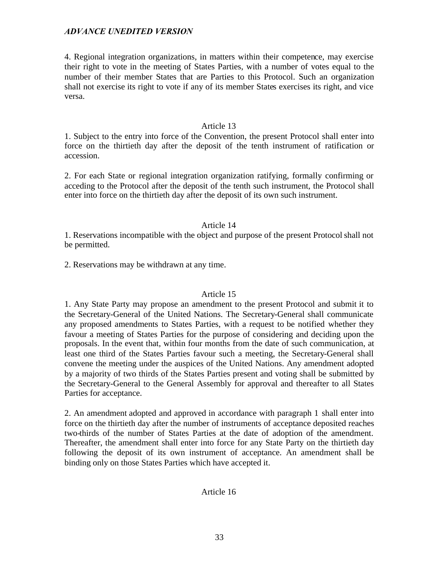4. Regional integration organizations, in matters within their competence, may exercise their right to vote in the meeting of States Parties, with a number of votes equal to the number of their member States that are Parties to this Protocol. Such an organization shall not exercise its right to vote if any of its member States exercises its right, and vice versa.

#### Article 13

1. Subject to the entry into force of the Convention, the present Protocol shall enter into force on the thirtieth day after the deposit of the tenth instrument of ratification or accession.

2. For each State or regional integration organization ratifying, formally confirming or acceding to the Protocol after the deposit of the tenth such instrument, the Protocol shall enter into force on the thirtieth day after the deposit of its own such instrument.

#### Article 14

1. Reservations incompatible with the object and purpose of the present Protocolshall not be permitted.

2. Reservations may be withdrawn at any time.

#### Article 15

1. Any State Party may propose an amendment to the present Protocol and submit it to the Secretary-General of the United Nations. The Secretary-General shall communicate any proposed amendments to States Parties, with a request to be notified whether they favour a meeting of States Parties for the purpose of considering and deciding upon the proposals. In the event that, within four months from the date of such communication, at least one third of the States Parties favour such a meeting, the Secretary-General shall convene the meeting under the auspices of the United Nations. Any amendment adopted by a majority of two thirds of the States Parties present and voting shall be submitted by the Secretary-General to the General Assembly for approval and thereafter to all States Parties for acceptance.

2. An amendment adopted and approved in accordance with paragraph 1 shall enter into force on the thirtieth day after the number of instruments of acceptance deposited reaches two-thirds of the number of States Parties at the date of adoption of the amendment. Thereafter, the amendment shall enter into force for any State Party on the thirtieth day following the deposit of its own instrument of acceptance. An amendment shall be binding only on those States Parties which have accepted it.

#### Article 16